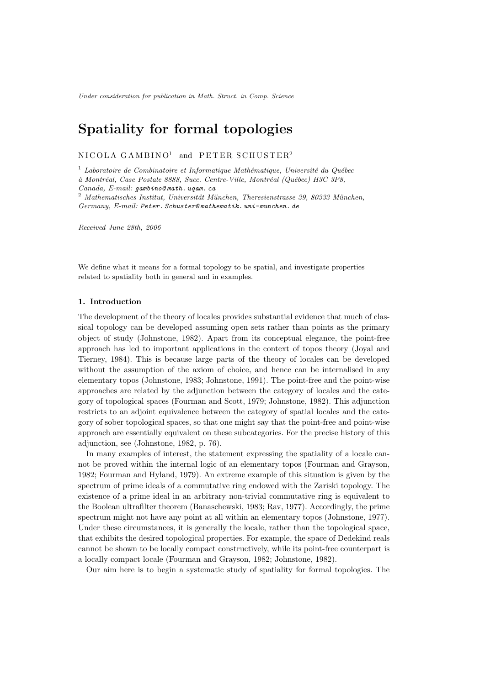Under consideration for publication in Math. Struct. in Comp. Science

# Spatiality for formal topologies

 $N_{\rm ICOLA}$  GAMBINO<sup>1</sup> and PETER SCHUSTER<sup>2</sup>

 $^{\rm 1}$  Laboratoire de Combinatoire et Informatique Mathématique, Université du Québec

à Montréal, Case Postale 8888, Succ. Centre-Ville, Montréal (Québec) H3C 3P8,

 $2$  Mathematisches Institut, Universität München, Theresienstrasse 39, 80333 München, Germany, E-mail: Peter. Schuster@ mathematik. uni-munchen. de

Received June 28th, 2006

We define what it means for a formal topology to be spatial, and investigate properties related to spatiality both in general and in examples.

#### 1. Introduction

The development of the theory of locales provides substantial evidence that much of classical topology can be developed assuming open sets rather than points as the primary object of study (Johnstone, 1982). Apart from its conceptual elegance, the point-free approach has led to important applications in the context of topos theory (Joyal and Tierney, 1984). This is because large parts of the theory of locales can be developed without the assumption of the axiom of choice, and hence can be internalised in any elementary topos (Johnstone, 1983; Johnstone, 1991). The point-free and the point-wise approaches are related by the adjunction between the category of locales and the category of topological spaces (Fourman and Scott, 1979; Johnstone, 1982). This adjunction restricts to an adjoint equivalence between the category of spatial locales and the category of sober topological spaces, so that one might say that the point-free and point-wise approach are essentially equivalent on these subcategories. For the precise history of this adjunction, see (Johnstone, 1982, p. 76).

In many examples of interest, the statement expressing the spatiality of a locale cannot be proved within the internal logic of an elementary topos (Fourman and Grayson, 1982; Fourman and Hyland, 1979). An extreme example of this situation is given by the spectrum of prime ideals of a commutative ring endowed with the Zariski topology. The existence of a prime ideal in an arbitrary non-trivial commutative ring is equivalent to the Boolean ultrafilter theorem (Banaschewski, 1983; Rav, 1977). Accordingly, the prime spectrum might not have any point at all within an elementary topos (Johnstone, 1977). Under these circumstances, it is generally the locale, rather than the topological space, that exhibits the desired topological properties. For example, the space of Dedekind reals cannot be shown to be locally compact constructively, while its point-free counterpart is a locally compact locale (Fourman and Grayson, 1982; Johnstone, 1982).

Our aim here is to begin a systematic study of spatiality for formal topologies. The

Canada, E-mail: gambino@ math. uqam. ca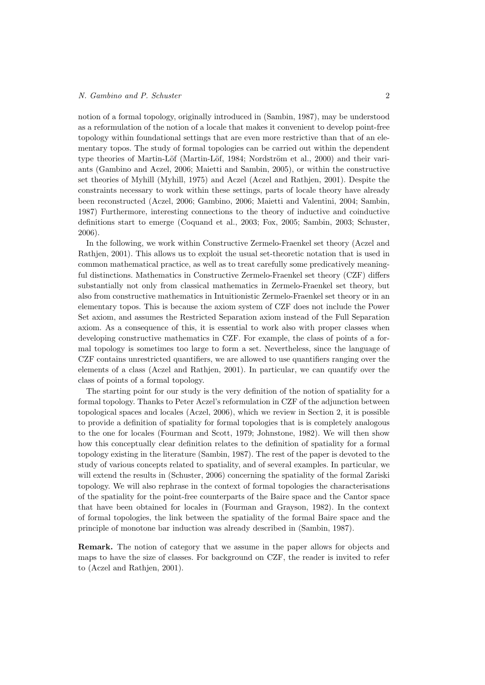# N. Gambino and P. Schuster 2

notion of a formal topology, originally introduced in (Sambin, 1987), may be understood as a reformulation of the notion of a locale that makes it convenient to develop point-free topology within foundational settings that are even more restrictive than that of an elementary topos. The study of formal topologies can be carried out within the dependent type theories of Martin-Löf (Martin-Löf, 1984; Nordström et al., 2000) and their variants (Gambino and Aczel, 2006; Maietti and Sambin, 2005), or within the constructive set theories of Myhill (Myhill, 1975) and Aczel (Aczel and Rathjen, 2001). Despite the constraints necessary to work within these settings, parts of locale theory have already been reconstructed (Aczel, 2006; Gambino, 2006; Maietti and Valentini, 2004; Sambin, 1987) Furthermore, interesting connections to the theory of inductive and coinductive definitions start to emerge (Coquand et al., 2003; Fox, 2005; Sambin, 2003; Schuster, 2006).

In the following, we work within Constructive Zermelo-Fraenkel set theory (Aczel and Rathjen, 2001). This allows us to exploit the usual set-theoretic notation that is used in common mathematical practice, as well as to treat carefully some predicatively meaningful distinctions. Mathematics in Constructive Zermelo-Fraenkel set theory (CZF) differs substantially not only from classical mathematics in Zermelo-Fraenkel set theory, but also from constructive mathematics in Intuitionistic Zermelo-Fraenkel set theory or in an elementary topos. This is because the axiom system of CZF does not include the Power Set axiom, and assumes the Restricted Separation axiom instead of the Full Separation axiom. As a consequence of this, it is essential to work also with proper classes when developing constructive mathematics in CZF. For example, the class of points of a formal topology is sometimes too large to form a set. Nevertheless, since the language of CZF contains unrestricted quantifiers, we are allowed to use quantifiers ranging over the elements of a class (Aczel and Rathjen, 2001). In particular, we can quantify over the class of points of a formal topology.

The starting point for our study is the very definition of the notion of spatiality for a formal topology. Thanks to Peter Aczel's reformulation in CZF of the adjunction between topological spaces and locales (Aczel, 2006), which we review in Section 2, it is possible to provide a definition of spatiality for formal topologies that is is completely analogous to the one for locales (Fourman and Scott, 1979; Johnstone, 1982). We will then show how this conceptually clear definition relates to the definition of spatiality for a formal topology existing in the literature (Sambin, 1987). The rest of the paper is devoted to the study of various concepts related to spatiality, and of several examples. In particular, we will extend the results in (Schuster, 2006) concerning the spatiality of the formal Zariski topology. We will also rephrase in the context of formal topologies the characterisations of the spatiality for the point-free counterparts of the Baire space and the Cantor space that have been obtained for locales in (Fourman and Grayson, 1982). In the context of formal topologies, the link between the spatiality of the formal Baire space and the principle of monotone bar induction was already described in (Sambin, 1987).

Remark. The notion of category that we assume in the paper allows for objects and maps to have the size of classes. For background on CZF, the reader is invited to refer to (Aczel and Rathjen, 2001).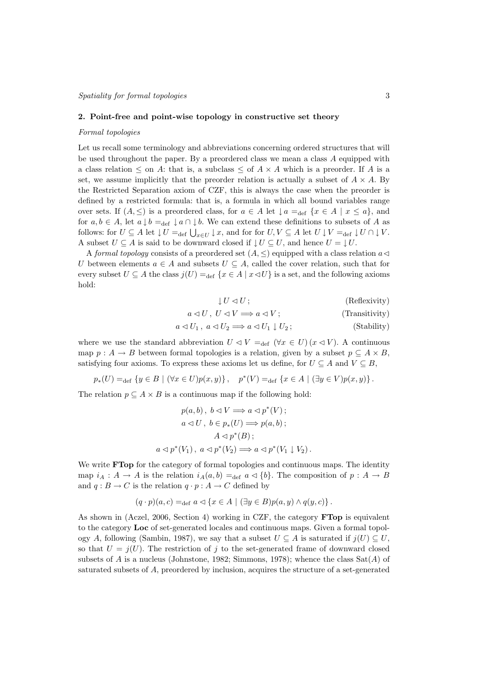#### 2. Point-free and point-wise topology in constructive set theory

#### Formal topologies

Let us recall some terminology and abbreviations concerning ordered structures that will be used throughout the paper. By a preordered class we mean a class  $A$  equipped with a class relation  $\leq$  on A: that is, a subclass  $\leq$  of  $A \times A$  which is a preorder. If A is a set, we assume implicitly that the preorder relation is actually a subset of  $A \times A$ . By the Restricted Separation axiom of CZF, this is always the case when the preorder is defined by a restricted formula: that is, a formula in which all bound variables range over sets. If  $(A, \leq)$  is a preordered class, for  $a \in A$  let  $\downarrow a =_{def} \{x \in A \mid x \leq a\}$ , and for  $a, b \in A$ , let  $a \downarrow b =_{def} \downarrow a \cap \downarrow b$ . We can extend these definitions to subsets of A as follows: for  $U \subseteq A$  let  $\bigcup U =_{def} \bigcup_{x \in U} \downarrow x$ , and for for  $U, V \subseteq A$  let  $U \downarrow V =_{def} \downarrow U \cap \downarrow V$ . A subset  $U \subseteq A$  is said to be downward closed if  $\downarrow U \subseteq U$ , and hence  $U = \downarrow U$ .

A formal topology consists of a preordered set  $(A, \leq)$  equipped with a class relation  $a \triangleleft$ U between elements  $a \in A$  and subsets  $U \subseteq A$ , called the cover relation, such that for every subset  $U \subseteq A$  the class  $j(U) =_{def} \{x \in A \mid x \triangleleft U\}$  is a set, and the following axioms hold:

$$
U \lhd U;
$$
 (Reflexivity)

$$
a \lhd U, \ U \lhd V \Longrightarrow a \lhd V; \tag{Transitivity}
$$

$$
a \triangleleft U_1, \ a \triangleleft U_2 \Longrightarrow a \triangleleft U_1 \downarrow U_2; \tag{Stability}
$$

where we use the standard abbreviation  $U \triangleleft V =_{def} (\forall x \in U) (x \triangleleft V)$ . A continuous map  $p : A \to B$  between formal topologies is a relation, given by a subset  $p \subseteq A \times B$ , satisfying four axioms. To express these axioms let us define, for  $U \subseteq A$  and  $V \subseteq B$ ,

 $p_*(U) =_{\text{def}} \{ y \in B \mid (\forall x \in U) p(x, y) \}, \quad p^*(V) =_{\text{def}} \{ x \in A \mid (\exists y \in V) p(x, y) \}.$ 

The relation  $p \subseteq A \times B$  is a continuous map if the following hold:

$$
p(a, b), b \lhd V \Longrightarrow a \lhd p^*(V) ;
$$
  
\n
$$
a \lhd U, b \in p_*(U) \Longrightarrow p(a, b) ;
$$
  
\n
$$
A \lhd p^*(B) ;
$$
  
\n
$$
a \lhd p^*(V_1), a \lhd p^*(V_2) \Longrightarrow a \lhd p^*(V_1 \downarrow V_2) .
$$

We write **FTop** for the category of formal topologies and continuous maps. The identity map  $i_A : A \to A$  is the relation  $i_A(a, b) =_{def} a \triangleleft \{b\}$ . The composition of  $p : A \to B$ and  $q : B \to C$  is the relation  $q \cdot p : A \to C$  defined by

$$
(q \cdot p)(a, c) =_{\text{def}} a \triangleleft \{ x \in A \mid (\exists y \in B) p(a, y) \wedge q(y, c) \}.
$$

As shown in (Aczel, 2006, Section 4) working in CZF, the category FTop is equivalent to the category Loc of set-generated locales and continuous maps. Given a formal topology A, following (Sambin, 1987), we say that a subset  $U \subseteq A$  is saturated if  $j(U) \subseteq U$ , so that  $U = j(U)$ . The restriction of j to the set-generated frame of downward closed subsets of A is a nucleus (Johnstone, 1982; Simmons, 1978); whence the class  $Sat(A)$  of saturated subsets of A, preordered by inclusion, acquires the structure of a set-generated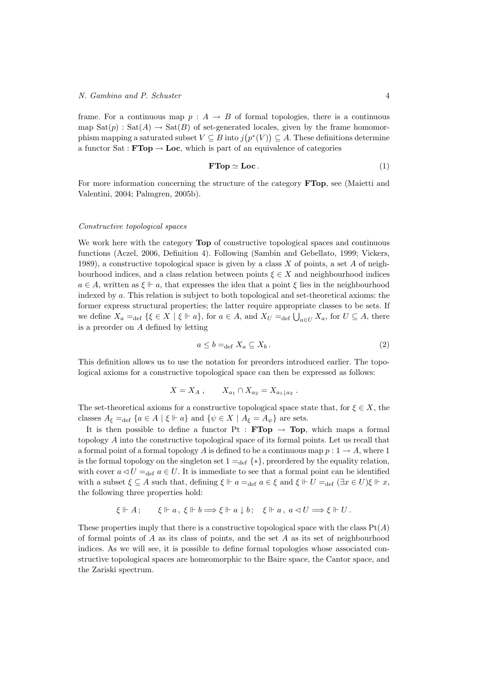frame. For a continuous map  $p : A \rightarrow B$  of formal topologies, there is a continuous map  $\text{Sat}(p) : \text{Sat}(A) \to \text{Sat}(B)$  of set-generated locales, given by the frame homomorphism mapping a saturated subset  $V \subseteq B$  into  $j(p^*(V)) \subseteq A$ . These definitions determine a functor  $Sat : FTop \to Loc$ , which is part of an equivalence of categories

$$
\textbf{FTop} \simeq \textbf{Loc}. \tag{1}
$$

For more information concerning the structure of the category FTop, see (Maietti and Valentini, 2004; Palmgren, 2005b).

#### Constructive topological spaces

We work here with the category **Top** of constructive topological spaces and continuous functions (Aczel, 2006, Definition 4). Following (Sambin and Gebellato, 1999; Vickers, 1989), a constructive topological space is given by a class  $X$  of points, a set  $A$  of neighbourhood indices, and a class relation between points  $\xi \in X$  and neighbourhood indices  $a \in A$ , written as  $\xi \Vdash a$ , that expresses the idea that a point  $\xi$  lies in the neighbourhood indexed by a. This relation is subject to both topological and set-theoretical axioms: the former express structural properties; the latter require appropriate classes to be sets. If we define  $X_a =_{def} \{ \xi \in X \mid \xi \Vdash a \}$ , for  $a \in A$ , and  $X_U =_{def} \bigcup_{a \in U} X_a$ , for  $U \subseteq A$ , there is a preorder on A defined by letting

$$
a \le b =_{\text{def}} X_a \subseteq X_b. \tag{2}
$$

This definition allows us to use the notation for preorders introduced earlier. The topological axioms for a constructive topological space can then be expressed as follows:

$$
X = X_A , \qquad X_{a_1} \cap X_{a_2} = X_{a_1 \downarrow a_2} .
$$

The set-theoretical axioms for a constructive topological space state that, for  $\xi \in X$ , the classes  $A_{\xi} =_{def} \{a \in A \mid \xi \Vdash a\}$  and  $\{\psi \in X \mid A_{\xi} = A_{\psi}\}\$  are sets.

It is then possible to define a functor Pt :  $\textbf{FTop} \rightarrow \textbf{Top}$ , which maps a formal topology A into the constructive topological space of its formal points. Let us recall that a formal point of a formal topology A is defined to be a continuous map  $p: 1 \rightarrow A$ , where 1 is the formal topology on the singleton set  $1 =_{def} \{*\}$ , preordered by the equality relation, with cover  $a \triangleleft U =_{def} a \in U$ . It is immediate to see that a formal point can be identified with a subset  $\xi \subseteq A$  such that, defining  $\xi \Vdash a =_{\text{def}} a \in \xi$  and  $\xi \Vdash U =_{\text{def}} (\exists x \in U)\xi \Vdash x$ , the following three properties hold:

$$
\xi \Vdash A; \qquad \xi \Vdash a, \ \xi \Vdash b \Longrightarrow \xi \Vdash a \downarrow b; \quad \xi \Vdash a, \ a \lhd U \Longrightarrow \xi \Vdash U.
$$

These properties imply that there is a constructive topological space with the class  $Pt(A)$ of formal points of  $A$  as its class of points, and the set  $A$  as its set of neighbourhood indices. As we will see, it is possible to define formal topologies whose associated constructive topological spaces are homeomorphic to the Baire space, the Cantor space, and the Zariski spectrum.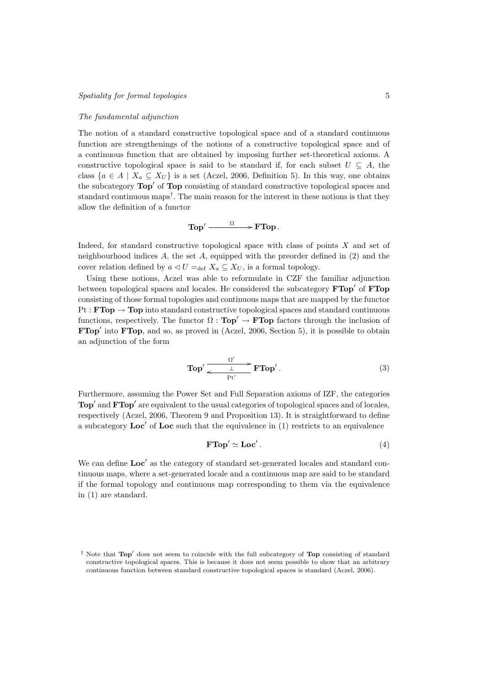#### The fundamental adjunction

The notion of a standard constructive topological space and of a standard continuous function are strengthenings of the notions of a constructive topological space and of a continuous function that are obtained by imposing further set-theoretical axioms. A constructive topological space is said to be standard if, for each subset  $U \subseteq A$ , the class  $\{a \in A \mid X_a \subseteq X_U\}$  is a set (Aczel, 2006, Definition 5). In this way, one obtains the subcategory  $\text{Top}'$  of  $\text{Top}$  consisting of standard constructive topological spaces and standard continuous maps† . The main reason for the interest in these notions is that they allow the definition of a functor

$$
\text{Top}' \xrightarrow{\phantom{a}\Omega\phantom{a}} \textbf{FTop}\,.
$$

Indeed, for standard constructive topological space with class of points X and set of neighbourhood indices  $A$ , the set  $A$ , equipped with the preorder defined in (2) and the cover relation defined by  $a \triangleleft U =_{\text{def}} X_a \subseteq X_U$ , is a formal topology.

Using these notions, Aczel was able to reformulate in CZF the familiar adjunction between topological spaces and locales. He considered the subcategory  $FTop'$  of  $FTop$ consisting of those formal topologies and continuous maps that are mapped by the functor  $Pt : FTop \rightarrow Top$  into standard constructive topological spaces and standard continuous functions, respectively. The functor  $\Omega : \text{Top}' \to \text{FTop}$  factors through the inclusion of  $\mathbf{FTop}'$  into  $\mathbf{FTop}$ , and so, as proved in (Aczel, 2006, Section 5), it is possible to obtain an adjunction of the form

$$
\text{Top}' \xrightarrow{\Omega'} \text{FTop}'. \tag{3}
$$

Furthermore, assuming the Power Set and Full Separation axioms of IZF, the categories  $\text{Top}'$  and  $\text{FTop}'$  are equivalent to the usual categories of topological spaces and of locales, respectively (Aczel, 2006, Theorem 9 and Proposition 13). It is straightforward to define a subcategory  $\text{Loc}'$  of  $\text{Loc}$  such that the equivalence in (1) restricts to an equivalence

$$
\mathbf{FTop}' \simeq \mathbf{Loc}'.\tag{4}
$$

We can define  $Loc'$  as the category of standard set-generated locales and standard continuous maps, where a set-generated locale and a continuous map are said to be standard if the formal topology and continuous map corresponding to them via the equivalence in (1) are standard.

<sup>&</sup>lt;sup>†</sup> Note that  $Top'$  does not seem to coincide with the full subcategory of  $Top$  consisting of standard constructive topological spaces. This is because it does not seem possible to show that an arbitrary continuous function between standard constructive topological spaces is standard (Aczel, 2006).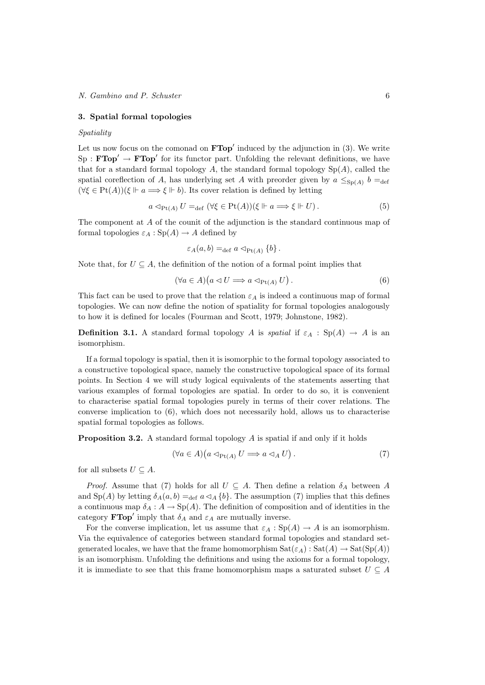# 3. Spatial formal topologies

# Spatiality

Let us now focus on the comonad on  $\textbf{FTop}'$  induced by the adjunction in (3). We write  $Sp : FTop' \rightarrow FTop'$  for its functor part. Unfolding the relevant definitions, we have that for a standard formal topology  $A$ , the standard formal topology  $Sp(A)$ , called the spatial coreflection of A, has underlying set A with preorder given by  $a \leq_{Sp(A)} b =_{def}$  $(\forall \xi \in \mathrm{Pt}(A))(\xi \Vdash a \Longrightarrow \xi \Vdash b)$ . Its cover relation is defined by letting

$$
a \triangleleft_{\text{Pt}(A)} U =_{\text{def}} (\forall \xi \in \text{Pt}(A)) (\xi \Vdash a \Longrightarrow \xi \Vdash U). \tag{5}
$$

The component at A of the counit of the adjunction is the standard continuous map of formal topologies  $\varepsilon_A : Sp(A) \to A$  defined by

$$
\varepsilon_A(a,b) =_{\text{def}} a \vartriangleleft_{\text{Pt}(A)} \{b\}.
$$

Note that, for  $U \subseteq A$ , the definition of the notion of a formal point implies that

$$
(\forall a \in A)(a \lhd U \Longrightarrow a \lhd_{\text{Pt}(A)} U). \tag{6}
$$

This fact can be used to prove that the relation  $\varepsilon_A$  is indeed a continuous map of formal topologies. We can now define the notion of spatiality for formal topologies analogously to how it is defined for locales (Fourman and Scott, 1979; Johnstone, 1982).

**Definition 3.1.** A standard formal topology A is spatial if  $\varepsilon_A$  : Sp(A)  $\rightarrow$  A is an isomorphism.

If a formal topology is spatial, then it is isomorphic to the formal topology associated to a constructive topological space, namely the constructive topological space of its formal points. In Section 4 we will study logical equivalents of the statements asserting that various examples of formal topologies are spatial. In order to do so, it is convenient to characterise spatial formal topologies purely in terms of their cover relations. The converse implication to (6), which does not necessarily hold, allows us to characterise spatial formal topologies as follows.

**Proposition 3.2.** A standard formal topology  $A$  is spatial if and only if it holds

$$
(\forall a \in A)(a \triangleleft_{\text{Pt}(A)} U \Longrightarrow a \triangleleft_A U). \tag{7}
$$

for all subsets  $U \subseteq A$ .

*Proof.* Assume that (7) holds for all  $U \subseteq A$ . Then define a relation  $\delta_A$  between A and  $Sp(A)$  by letting  $\delta_A(a, b) =_{def} a \triangleleft_A \{b\}$ . The assumption (7) implies that this defines a continuous map  $\delta_A : A \to \mathrm{Sp}(A)$ . The definition of composition and of identities in the category **FTop'** imply that  $\delta_A$  and  $\varepsilon_A$  are mutually inverse.

For the converse implication, let us assume that  $\varepsilon_A : Sp(A) \to A$  is an isomorphism. Via the equivalence of categories between standard formal topologies and standard setgenerated locales, we have that the frame homomorphism  $\text{Sat}(\varepsilon_A)$  :  $\text{Sat}(A) \to \text{Sat}(\text{Sp}(A))$ is an isomorphism. Unfolding the definitions and using the axioms for a formal topology, it is immediate to see that this frame homomorphism maps a saturated subset  $U \subseteq A$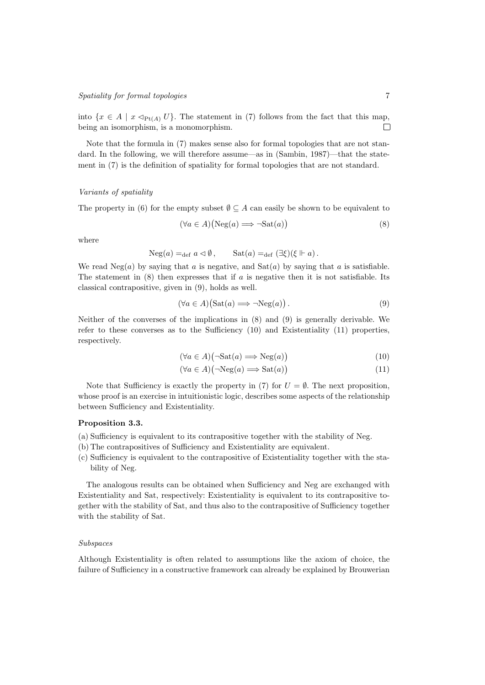# Spatiality for formal topologies 7

into  $\{x \in A \mid x \triangleleft_{\text{Pt}(A)} U\}$ . The statement in (7) follows from the fact that this map, being an isomorphism, is a monomorphism.  $\Box$ 

Note that the formula in (7) makes sense also for formal topologies that are not standard. In the following, we will therefore assume—as in (Sambin, 1987)—that the statement in (7) is the definition of spatiality for formal topologies that are not standard.

# Variants of spatiality

The property in (6) for the empty subset  $\emptyset \subseteq A$  can easily be shown to be equivalent to

$$
(\forall a \in A)(\text{Neg}(a) \Longrightarrow \neg \text{Sat}(a)) \tag{8}
$$

where

$$
\operatorname{Neg}(a) =_{\operatorname{def}} a \vartriangleleft \emptyset, \qquad \operatorname{Sat}(a) =_{\operatorname{def}} (\exists \xi)(\xi \Vdash a).
$$

We read  $Neg(a)$  by saying that a is negative, and  $Sat(a)$  by saying that a is satisfiable. The statement in  $(8)$  then expresses that if a is negative then it is not satisfiable. Its classical contrapositive, given in (9), holds as well.

$$
(\forall a \in A)(\text{Sat}(a) \Longrightarrow \neg \text{Neg}(a)). \tag{9}
$$

Neither of the converses of the implications in (8) and (9) is generally derivable. We refer to these converses as to the Sufficiency (10) and Existentiality (11) properties, respectively.

$$
(\forall a \in A)(\neg \text{Sat}(a) \Longrightarrow \text{Neg}(a)) \tag{10}
$$

$$
(\forall a \in A)(\neg \text{Neg}(a) \Longrightarrow \text{Sat}(a)) \tag{11}
$$

Note that Sufficiency is exactly the property in (7) for  $U = \emptyset$ . The next proposition, whose proof is an exercise in intuitionistic logic, describes some aspects of the relationship between Sufficiency and Existentiality.

#### Proposition 3.3.

- (a) Sufficiency is equivalent to its contrapositive together with the stability of Neg.
- (b) The contrapositives of Sufficiency and Existentiality are equivalent.
- (c) Sufficiency is equivalent to the contrapositive of Existentiality together with the stability of Neg.

The analogous results can be obtained when Sufficiency and Neg are exchanged with Existentiality and Sat, respectively: Existentiality is equivalent to its contrapositive together with the stability of Sat, and thus also to the contrapositive of Sufficiency together with the stability of Sat.

# Subspaces

Although Existentiality is often related to assumptions like the axiom of choice, the failure of Sufficiency in a constructive framework can already be explained by Brouwerian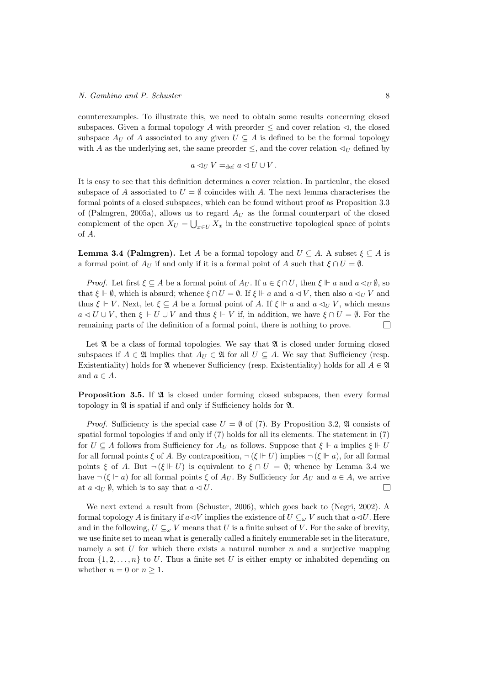counterexamples. To illustrate this, we need to obtain some results concerning closed subspaces. Given a formal topology A with preorder  $\leq$  and cover relation  $\triangleleft$ , the closed subspace  $A_U$  of A associated to any given  $U \subseteq A$  is defined to be the formal topology with A as the underlying set, the same preorder  $\leq$ , and the cover relation  $\triangleleft_U$  defined by

$$
a\lhd_{U}V =_{\text{def}} a\lhd U\cup V.
$$

It is easy to see that this definition determines a cover relation. In particular, the closed subspace of A associated to  $U = \emptyset$  coincides with A. The next lemma characterises the formal points of a closed subspaces, which can be found without proof as Proposition 3.3 of (Palmgren, 2005a), allows us to regard  $A_U$  as the formal counterpart of the closed complement of the open  $X_U = \bigcup_{x \in U} X_x$  in the constructive topological space of points of A.

**Lemma 3.4 (Palmgren).** Let A be a formal topology and  $U \subseteq A$ . A subset  $\xi \subseteq A$  is a formal point of  $A_U$  if and only if it is a formal point of A such that  $\xi \cap U = \emptyset$ .

*Proof.* Let first  $\xi \subseteq A$  be a formal point of  $A_U$ . If  $a \in \xi \cap U$ , then  $\xi \Vdash a$  and  $a \triangleleft_U \emptyset$ , so that  $\xi \Vdash \emptyset$ , which is absurd; whence  $\xi \cap U = \emptyset$ . If  $\xi \Vdash a$  and  $a \triangleleft V$ , then also  $a \triangleleft_{U} V$  and thus  $\xi \Vdash V$ . Next, let  $\xi \subseteq A$  be a formal point of A. If  $\xi \Vdash a$  and  $a \triangleleft_{U} V$ , which means  $a \triangleleft U \cup V$ , then  $\xi \Vdash U \cup V$  and thus  $\xi \Vdash V$  if, in addition, we have  $\xi \cap U = \emptyset$ . For the remaining parts of the definition of a formal point, there is nothing to prove.  $\Box$ 

Let  $\mathfrak A$  be a class of formal topologies. We say that  $\mathfrak A$  is closed under forming closed subspaces if  $A \in \mathfrak{A}$  implies that  $A_U \in \mathfrak{A}$  for all  $U \subseteq A$ . We say that Sufficiency (resp. Existentiality) holds for  $\mathfrak A$  whenever Sufficiency (resp. Existentiality) holds for all  $A \in \mathfrak A$ and  $a \in A$ .

**Proposition 3.5.** If  $\mathfrak A$  is closed under forming closed subspaces, then every formal topology in  $\mathfrak A$  is spatial if and only if Sufficiency holds for  $\mathfrak A$ .

*Proof.* Sufficiency is the special case  $U = \emptyset$  of (7). By Proposition 3.2,  $\mathfrak A$  consists of spatial formal topologies if and only if (7) holds for all its elements. The statement in (7) for  $U \subseteq A$  follows from Sufficiency for  $A_U$  as follows. Suppose that  $\xi \Vdash a$  implies  $\xi \Vdash U$ for all formal points  $\xi$  of A. By contraposition,  $\neg (\xi \Vdash U)$  implies  $\neg (\xi \Vdash a)$ , for all formal points  $\xi$  of A. But  $\neg(\xi \Vdash U)$  is equivalent to  $\xi \cap U = \emptyset$ ; whence by Lemma 3.4 we have  $\neg (\xi \Vdash a)$  for all formal points  $\xi$  of  $A_U$ . By Sufficiency for  $A_U$  and  $a \in A$ , we arrive at  $a \triangleleft_U \emptyset$ , which is to say that  $a \triangleleft U$ .  $\Box$ 

We next extend a result from (Schuster, 2006), which goes back to (Negri, 2002). A formal topology A is finitary if  $a\triangleleft V$  implies the existence of  $U\subseteq_{\omega} V$  such that  $a\triangleleft U$ . Here and in the following,  $U \subseteq_{\omega} V$  means that U is a finite subset of V. For the sake of brevity, we use finite set to mean what is generally called a finitely enumerable set in the literature, namely a set  $U$  for which there exists a natural number  $n$  and a surjective mapping from  $\{1, 2, \ldots, n\}$  to U. Thus a finite set U is either empty or inhabited depending on whether  $n = 0$  or  $n \ge 1$ .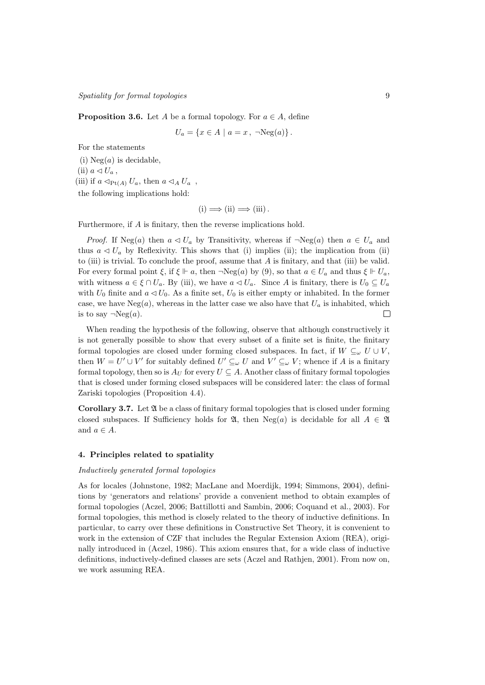**Proposition 3.6.** Let A be a formal topology. For  $a \in A$ , define

$$
U_a = \{ x \in A \mid a = x, \ \neg \text{Neg}(a) \} .
$$

For the statements

(i)  $Neg(a)$  is decidable, (ii)  $a \triangleleft U_a$ , (iii) if  $a \triangleleft_{Pt(A)} U_a$ , then  $a \triangleleft_A U_a$ , the following implications hold:

$$
(i) \Longrightarrow (ii) \Longrightarrow (iii).
$$

Furthermore, if A is finitary, then the reverse implications hold.

*Proof.* If Neg(a) then  $a \triangleleft U_a$  by Transitivity, whereas if  $\neg Neg(a)$  then  $a \in U_a$  and thus  $a \triangleleft U_a$  by Reflexivity. This shows that (i) implies (ii); the implication from (ii) to (iii) is trivial. To conclude the proof, assume that  $A$  is finitary, and that (iii) be valid. For every formal point  $\xi$ , if  $\xi \Vdash a$ , then  $\neg \text{Neg}(a)$  by (9), so that  $a \in U_a$  and thus  $\xi \Vdash U_a$ , with witness  $a \in \xi \cap U_a$ . By (iii), we have  $a \lhd U_a$ . Since A is finitary, there is  $U_0 \subseteq U_a$ with  $U_0$  finite and  $a \triangleleft U_0$ . As a finite set,  $U_0$  is either empty or inhabited. In the former case, we have  $Neg(a)$ , whereas in the latter case we also have that  $U_a$  is inhabited, which is to say  $\neg Neg(a)$ .  $\Box$ 

When reading the hypothesis of the following, observe that although constructively it is not generally possible to show that every subset of a finite set is finite, the finitary formal topologies are closed under forming closed subspaces. In fact, if  $W \subseteq_{\omega} U \cup V$ , then  $W = U' \cup V'$  for suitably defined  $U' \subseteq_{\omega} U$  and  $V' \subseteq_{\omega} V$ ; whence if A is a finitary formal topology, then so is  $A_U$  for every  $U \subseteq A$ . Another class of finitary formal topologies that is closed under forming closed subspaces will be considered later: the class of formal Zariski topologies (Proposition 4.4).

Corollary 3.7. Let A be a class of finitary formal topologies that is closed under forming closed subspaces. If Sufficiency holds for  $\mathfrak{A}$ , then Neg(a) is decidable for all  $A \in \mathfrak{A}$ and  $a \in A$ .

# 4. Principles related to spatiality

## Inductively generated formal topologies

As for locales (Johnstone, 1982; MacLane and Moerdijk, 1994; Simmons, 2004), definitions by 'generators and relations' provide a convenient method to obtain examples of formal topologies (Aczel, 2006; Battillotti and Sambin, 2006; Coquand et al., 2003). For formal topologies, this method is closely related to the theory of inductive definitions. In particular, to carry over these definitions in Constructive Set Theory, it is convenient to work in the extension of CZF that includes the Regular Extension Axiom (REA), originally introduced in (Aczel, 1986). This axiom ensures that, for a wide class of inductive definitions, inductively-defined classes are sets (Aczel and Rathjen, 2001). From now on, we work assuming REA.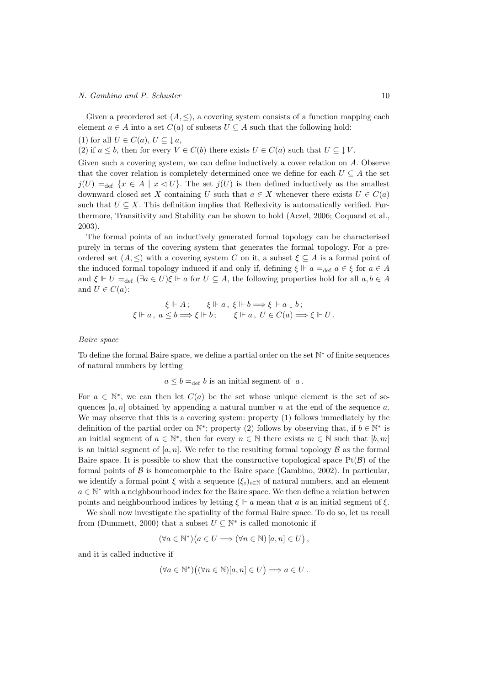#### N. Gambino and P. Schuster 10

Given a preordered set  $(A, \leq)$ , a covering system consists of a function mapping each element  $a \in A$  into a set  $C(a)$  of subsets  $U \subseteq A$  such that the following hold:

(1) for all  $U \in C(a)$ ,  $U \subseteq \downarrow \infty$ ,

(2) if 
$$
a \leq b
$$
, then for every  $V \in C(b)$  there exists  $U \in C(a)$  such that  $U \subseteq \downarrow V$ .

Given such a covering system, we can define inductively a cover relation on A. Observe that the cover relation is completely determined once we define for each  $U \subseteq A$  the set  $j(U) =_{def} {x \in A \mid x \triangleleft U}$ . The set  $j(U)$  is then defined inductively as the smallest downward closed set X containing U such that  $a \in X$  whenever there exists  $U \in C(a)$ such that  $U \subseteq X$ . This definition implies that Reflexivity is automatically verified. Furthermore, Transitivity and Stability can be shown to hold (Aczel, 2006; Coquand et al., 2003).

The formal points of an inductively generated formal topology can be characterised purely in terms of the covering system that generates the formal topology. For a preordered set  $(A, \leq)$  with a covering system C on it, a subset  $\xi \subseteq A$  is a formal point of the induced formal topology induced if and only if, defining  $\xi \Vdash a =_{\text{def}} a \in \xi$  for  $a \in A$ and  $\xi \Vdash U =_{def} (\exists a \in U)\xi \Vdash a$  for  $U \subseteq A$ , the following properties hold for all  $a, b \in A$ and  $U \in C(a)$ :

$$
\xi \Vdash A; \qquad \xi \Vdash a, \ \xi \Vdash b \Longrightarrow \xi \Vdash a \downarrow b; \n\xi \Vdash a, \ a \leq b \Longrightarrow \xi \Vdash b; \qquad \xi \Vdash a, \ U \in C(a) \Longrightarrow \xi \Vdash U.
$$

#### Baire space

To define the formal Baire space, we define a partial order on the set N<sup>\*</sup> of finite sequences of natural numbers by letting

$$
a \leq b =_{def} b
$$
 is an initial segment of a.

For  $a \in \mathbb{N}^*$ , we can then let  $C(a)$  be the set whose unique element is the set of sequences  $[a, n]$  obtained by appending a natural number n at the end of the sequence a. We may observe that this is a covering system: property  $(1)$  follows immediately by the definition of the partial order on  $\mathbb{N}^*$ ; property (2) follows by observing that, if  $b \in \mathbb{N}^*$  is an initial segment of  $a \in \mathbb{N}^*$ , then for every  $n \in \mathbb{N}$  there exists  $m \in \mathbb{N}$  such that  $[b, m]$ is an initial segment of  $[a, n]$ . We refer to the resulting formal topology  $\beta$  as the formal Baire space. It is possible to show that the constructive topological space  $Pf(\mathcal{B})$  of the formal points of  $\beta$  is homeomorphic to the Baire space (Gambino, 2002). In particular, we identify a formal point  $\xi$  with a sequence  $(\xi_i)_{i\in\mathbb{N}}$  of natural numbers, and an element  $a \in \mathbb{N}^*$  with a neighbourhood index for the Baire space. We then define a relation between points and neighbourhood indices by letting  $\xi \Vdash a$  mean that a is an initial segment of  $\xi$ .

We shall now investigate the spatiality of the formal Baire space. To do so, let us recall from (Dummett, 2000) that a subset  $U \subseteq \mathbb{N}^*$  is called monotonic if

$$
(\forall a \in \mathbb{N}^*) \big( a \in U \Longrightarrow (\forall n \in \mathbb{N}) [a, n] \in U \big),
$$

and it is called inductive if

$$
(\forall a \in \mathbb{N}^*)((\forall n \in \mathbb{N})[a, n] \in U) \Longrightarrow a \in U.
$$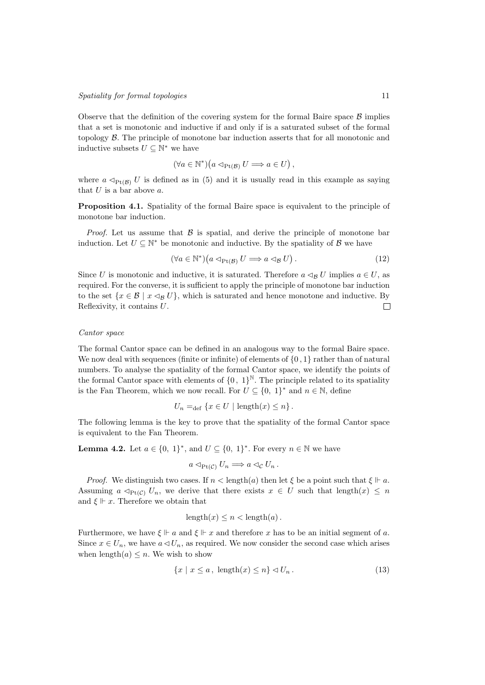Observe that the definition of the covering system for the formal Baire space  $\beta$  implies that a set is monotonic and inductive if and only if is a saturated subset of the formal topology B. The principle of monotone bar induction asserts that for all monotonic and inductive subsets  $U \subseteq \mathbb{N}^*$  we have

$$
(\forall a \in \mathbb{N}^*) \big( a \triangleleft_{\text{Pt}(\mathcal{B})} U \Longrightarrow a \in U \big),
$$

where  $a \triangleleft_{Pt(B)} U$  is defined as in (5) and it is usually read in this example as saying that  $U$  is a bar above  $a$ .

Proposition 4.1. Spatiality of the formal Baire space is equivalent to the principle of monotone bar induction.

*Proof.* Let us assume that  $\beta$  is spatial, and derive the principle of monotone bar induction. Let  $U \subseteq \mathbb{N}^*$  be monotonic and inductive. By the spatiality of  $\mathcal{B}$  we have

$$
(\forall a \in \mathbb{N}^*) \big( a \triangleleft_{\text{Pt}(\mathcal{B})} U \Longrightarrow a \triangleleft_{\mathcal{B}} U \big).
$$
\n
$$
(12)
$$

Since U is monotonic and inductive, it is saturated. Therefore  $a \triangleleft_B U$  implies  $a \in U$ , as required. For the converse, it is sufficient to apply the principle of monotone bar induction to the set  $\{x \in \mathcal{B} \mid x \leq_R U\}$ , which is saturated and hence monotone and inductive. By Reflexivity, it contains U.  $\Box$ 

# Cantor space

The formal Cantor space can be defined in an analogous way to the formal Baire space. We now deal with sequences (finite or infinite) of elements of  $\{0, 1\}$  rather than of natural numbers. To analyse the spatiality of the formal Cantor space, we identify the points of the formal Cantor space with elements of  $\{0, 1\}^{\mathbb{N}}$ . The principle related to its spatiality is the Fan Theorem, which we now recall. For  $U \subseteq \{0, 1\}^*$  and  $n \in \mathbb{N}$ , define

$$
U_n =_{\text{def}} \{ x \in U \mid \text{length}(x) \leq n \} .
$$

The following lemma is the key to prove that the spatiality of the formal Cantor space is equivalent to the Fan Theorem.

**Lemma 4.2.** Let  $a \in \{0, 1\}^*$ , and  $U \subseteq \{0, 1\}^*$ . For every  $n \in \mathbb{N}$  we have

$$
a \triangleleft_{\text{Pt}(\mathcal{C})} U_n \Longrightarrow a \triangleleft_{\mathcal{C}} U_n.
$$

*Proof.* We distinguish two cases. If  $n < \text{length}(a)$  then let  $\xi$  be a point such that  $\xi \Vdash a$ . Assuming  $a \triangleleft_{\text{Pt}(C)} U_n$ , we derive that there exists  $x \in U$  such that length $(x) \leq n$ and  $\xi \Vdash x$ . Therefore we obtain that

$$
length(x) \le n < length(a).
$$

Furthermore, we have  $\xi \Vdash a$  and  $\xi \Vdash x$  and therefore x has to be an initial segment of a. Since  $x \in U_n$ , we have  $a \triangleleft U_n$ , as required. We now consider the second case which arises when length $(a) \leq n$ . We wish to show

$$
\{x \mid x \le a, \text{ length}(x) \le n\} \lhd U_n. \tag{13}
$$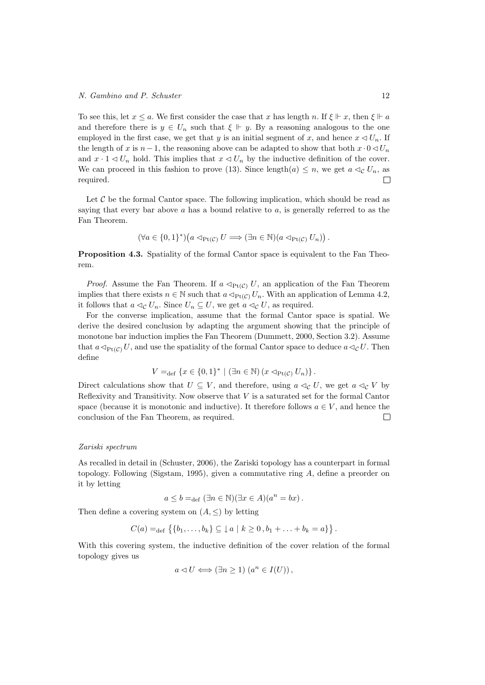To see this, let  $x \le a$ . We first consider the case that x has length n. If  $\xi \Vdash x$ , then  $\xi \Vdash a$ and therefore there is  $y \in U_n$  such that  $\xi \Vdash y$ . By a reasoning analogous to the one employed in the first case, we get that y is an initial segment of x, and hence  $x \triangleleft U_n$ . If the length of x is  $n-1$ , the reasoning above can be adapted to show that both  $x \cdot 0 \triangleleft U_n$ and  $x \cdot 1 \leq U_n$  hold. This implies that  $x \leq U_n$  by the inductive definition of the cover. We can proceed in this fashion to prove (13). Since length $(a) \leq n$ , we get  $a \triangleleft_c U_n$ , as required.  $\Box$ 

Let  $C$  be the formal Cantor space. The following implication, which should be read as saying that every bar above  $a$  has a bound relative to  $a$ , is generally referred to as the Fan Theorem.

$$
(\forall a \in \{0,1\}^*)(a \triangleleft_{\text{Pt}(\mathcal{C})} U \Longrightarrow (\exists n \in \mathbb{N})(a \triangleleft_{\text{Pt}(\mathcal{C})} U_n)).
$$

Proposition 4.3. Spatiality of the formal Cantor space is equivalent to the Fan Theorem.

*Proof.* Assume the Fan Theorem. If  $a \triangleleft_{Pt(C)} U$ , an application of the Fan Theorem implies that there exists  $n \in \mathbb{N}$  such that  $a \triangleleft_{\text{Pt}(C)} U_n$ . With an application of Lemma 4.2, it follows that  $a \triangleleft_{\mathcal{C}} U_n$ . Since  $U_n \subseteq U$ , we get  $a \triangleleft_{\mathcal{C}} U$ , as required.

For the converse implication, assume that the formal Cantor space is spatial. We derive the desired conclusion by adapting the argument showing that the principle of monotone bar induction implies the Fan Theorem (Dummett, 2000, Section 3.2). Assume that  $a \triangleleft_{Pt(C)} U$ , and use the spatiality of the formal Cantor space to deduce  $a \triangleleft_C U$ . Then define

$$
V =_{\text{def}} \{x \in \{0,1\}^* \mid (\exists n \in \mathbb{N}) (x \triangleleft_{\text{Pt}(\mathcal{C})} U_n)\}.
$$

Direct calculations show that  $U \subseteq V$ , and therefore, using  $a \triangleleft_{\mathcal{C}} U$ , we get  $a \triangleleft_{\mathcal{C}} V$  by Reflexivity and Transitivity. Now observe that V is a saturated set for the formal Cantor space (because it is monotonic and inductive). It therefore follows  $a \in V$ , and hence the conclusion of the Fan Theorem, as required.  $\Box$ 

#### Zariski spectrum

As recalled in detail in (Schuster, 2006), the Zariski topology has a counterpart in formal topology. Following (Sigstam, 1995), given a commutative ring A, define a preorder on it by letting

$$
a \le b =_{\text{def}} (\exists n \in \mathbb{N})(\exists x \in A)(a^n = bx).
$$

Then define a covering system on  $(A, \leq)$  by letting

$$
C(a) =_{def} \{ \{b_1, \ldots, b_k\} \subseteq \downarrow a \mid k \geq 0, b_1 + \ldots + b_k = a \} \}.
$$

With this covering system, the inductive definition of the cover relation of the formal topology gives us

$$
a \triangleleft U \Longleftrightarrow (\exists n \ge 1) \ (a^n \in I(U)),
$$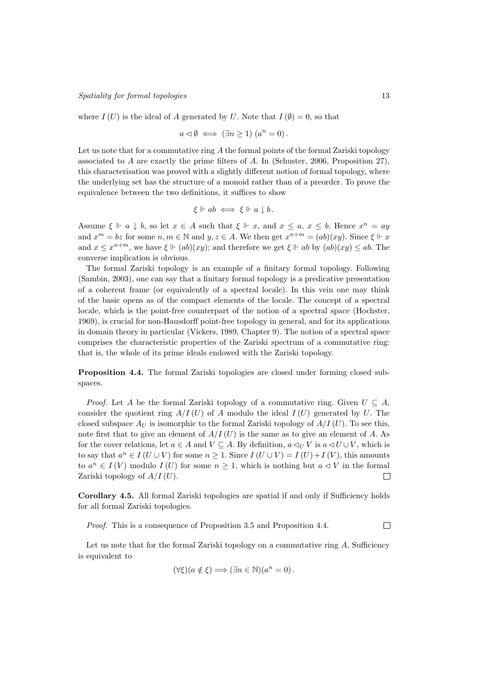# Spatiality for formal topologies 13

where  $I(U)$  is the ideal of A generated by U. Note that  $I(\emptyset) = 0$ , so that

$$
a \triangleleft \emptyset \iff (\exists n \ge 1) (a^n = 0).
$$

Let us note that for a commutative ring  $A$  the formal points of the formal Zariski topology associated to A are exactly the prime filters of A. In (Schuster, 2006, Proposition 27), this characterisation was proved with a slightly different notion of formal topology, where the underlying set has the structure of a monoid rather than of a preorder. To prove the equivalence between the two definitions, it suffices to show

$$
\xi \Vdash ab \iff \xi \Vdash a \downarrow b.
$$

Assume  $\xi \Vdash a \downarrow b$ , so let  $x \in A$  such that  $\xi \Vdash x$ , and  $x \le a, x \le b$ . Hence  $x^n = ay$ and  $x^m = bz$  for some  $n, m \in \mathbb{N}$  and  $y, z \in A$ . We then get  $x^{n+m} = (ab)(xy)$ . Since  $\xi \Vdash x$ and  $x \leq x^{n+m}$ , we have  $\xi \Vdash (ab)(xy)$ ; and therefore we get  $\xi \Vdash ab$  by  $(ab)(xy) \leq ab$ . The converse implication is obvious.

The formal Zariski topology is an example of a finitary formal topology. Following (Sambin, 2003), one can say that a finitary formal topology is a predicative presentation of a coherent frame (or equivalently of a spectral locale). In this vein one may think of the basic opens as of the compact elements of the locale. The concept of a spectral locale, which is the point-free counterpart of the notion of a spectral space (Hochster, 1969), is crucial for non-Hausdorff point-free topology in general, and for its applications in domain theory in particular (Vickers, 1989, Chapter 9). The notion of a spectral space comprises the characteristic properties of the Zariski spectrum of a commutative ring: that is, the whole of its prime ideals endowed with the Zariski topology.

Proposition 4.4. The formal Zariski topologies are closed under forming closed subspaces.

*Proof.* Let A be the formal Zariski topology of a commutative ring. Given  $U \subseteq A$ , consider the quotient ring  $A/I(U)$  of A modulo the ideal  $I(U)$  generated by U. The closed subspace  $A_U$  is isomorphic to the formal Zariski topology of  $A/I(U)$ . To see this, note first that to give an element of  $A/I(U)$  is the same as to give an element of A. As for the cover relations, let  $a \in A$  and  $V \subseteq A$ . By definition,  $a \triangleleft_{U} V$  is  $a \triangleleft U \cup V$ , which is to say that  $a^n \in I(U \cup V)$  for some  $n \geq 1$ . Since  $I(U \cup V) = I(U) + I(V)$ , this amounts to  $a^n \in I(V)$  modulo  $I(U)$  for some  $n \geq 1$ , which is nothing but  $a \triangleleft V$  in the formal Zariski topology of  $A/I(U)$ .  $\Box$ 

Corollary 4.5. All formal Zariski topologies are spatial if and only if Sufficiency holds for all formal Zariski topologies.

Proof. This is a consequence of Proposition 3.5 and Proposition 4.4.  $\Box$ 

Let us note that for the formal Zariski topology on a commutative ring  $A$ , Sufficiency is equivalent to

$$
(\forall \xi)(a \notin \xi) \Longrightarrow (\exists n \in \mathbb{N})(a^n = 0).
$$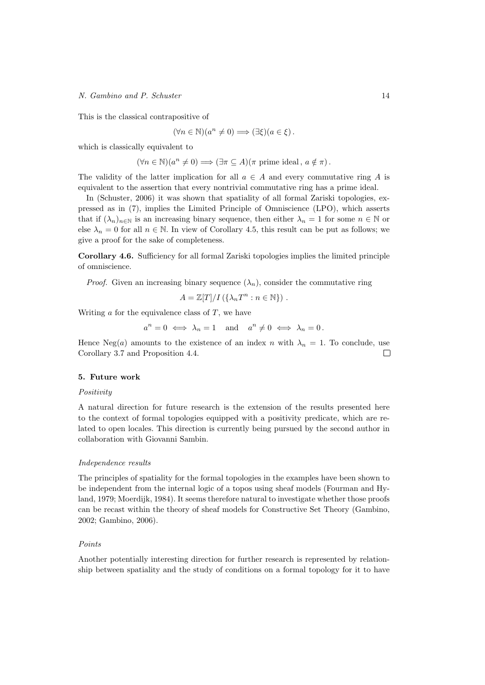This is the classical contrapositive of

$$
(\forall n \in \mathbb{N})(a^n \neq 0) \Longrightarrow (\exists \xi)(a \in \xi).
$$

which is classically equivalent to

$$
(\forall n \in \mathbb{N})(a^n \neq 0) \Longrightarrow (\exists \pi \subseteq A)(\pi \text{ prime ideal}, a \notin \pi).
$$

The validity of the latter implication for all  $a \in A$  and every commutative ring A is equivalent to the assertion that every nontrivial commutative ring has a prime ideal.

In (Schuster, 2006) it was shown that spatiality of all formal Zariski topologies, expressed as in (7), implies the Limited Principle of Omniscience (LPO), which asserts that if  $(\lambda_n)_{n\in\mathbb{N}}$  is an increasing binary sequence, then either  $\lambda_n = 1$  for some  $n \in \mathbb{N}$  or else  $\lambda_n = 0$  for all  $n \in \mathbb{N}$ . In view of Corollary 4.5, this result can be put as follows; we give a proof for the sake of completeness.

Corollary 4.6. Sufficiency for all formal Zariski topologies implies the limited principle of omniscience.

*Proof.* Given an increasing binary sequence  $(\lambda_n)$ , consider the commutative ring

$$
A = \mathbb{Z}[T]/I(\{\lambda_n T^n : n \in \mathbb{N}\}) .
$$

Writing  $\alpha$  for the equivalence class of  $T$ , we have

 $a^n = 0 \iff \lambda_n = 1 \text{ and } a^n \neq 0 \iff \lambda_n = 0.$ 

Hence Neg(a) amounts to the existence of an index n with  $\lambda_n = 1$ . To conclude, use Corollary 3.7 and Proposition 4.4. П

# 5. Future work

#### **Positivity**

A natural direction for future research is the extension of the results presented here to the context of formal topologies equipped with a positivity predicate, which are related to open locales. This direction is currently being pursued by the second author in collaboration with Giovanni Sambin.

## Independence results

The principles of spatiality for the formal topologies in the examples have been shown to be independent from the internal logic of a topos using sheaf models (Fourman and Hyland, 1979; Moerdijk, 1984). It seems therefore natural to investigate whether those proofs can be recast within the theory of sheaf models for Constructive Set Theory (Gambino, 2002; Gambino, 2006).

# Points

Another potentially interesting direction for further research is represented by relationship between spatiality and the study of conditions on a formal topology for it to have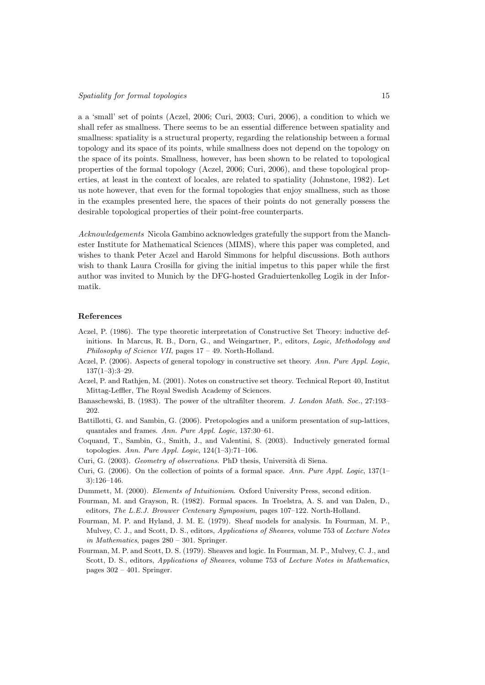a a 'small' set of points (Aczel, 2006; Curi, 2003; Curi, 2006), a condition to which we shall refer as smallness. There seems to be an essential difference between spatiality and smallness: spatiality is a structural property, regarding the relationship between a formal topology and its space of its points, while smallness does not depend on the topology on the space of its points. Smallness, however, has been shown to be related to topological properties of the formal topology (Aczel, 2006; Curi, 2006), and these topological properties, at least in the context of locales, are related to spatiality (Johnstone, 1982). Let us note however, that even for the formal topologies that enjoy smallness, such as those in the examples presented here, the spaces of their points do not generally possess the desirable topological properties of their point-free counterparts.

Acknowledgements Nicola Gambino acknowledges gratefully the support from the Manchester Institute for Mathematical Sciences (MIMS), where this paper was completed, and wishes to thank Peter Aczel and Harold Simmons for helpful discussions. Both authors wish to thank Laura Crosilla for giving the initial impetus to this paper while the first author was invited to Munich by the DFG-hosted Graduiertenkolleg Logik in der Informatik.

## References

- Aczel, P. (1986). The type theoretic interpretation of Constructive Set Theory: inductive definitions. In Marcus, R. B., Dorn, G., and Weingartner, P., editors, Logic, Methodology and Philosophy of Science VII, pages 17 – 49. North-Holland.
- Aczel, P. (2006). Aspects of general topology in constructive set theory. Ann. Pure Appl. Logic, 137(1–3):3–29.
- Aczel, P. and Rathjen, M. (2001). Notes on constructive set theory. Technical Report 40, Institut Mittag-Leffler, The Royal Swedish Academy of Sciences.
- Banaschewski, B. (1983). The power of the ultrafilter theorem. J. London Math. Soc., 27:193– 202.
- Battillotti, G. and Sambin, G. (2006). Pretopologies and a uniform presentation of sup-lattices, quantales and frames. Ann. Pure Appl. Logic, 137:30–61.
- Coquand, T., Sambin, G., Smith, J., and Valentini, S. (2003). Inductively generated formal topologies. Ann. Pure Appl. Logic,  $124(1-3):71-106$ .
- Curi, G. (2003). Geometry of observations. PhD thesis, Università di Siena.
- Curi, G. (2006). On the collection of points of a formal space. Ann. Pure Appl. Logic,  $137(1-\)$ 3):126–146.
- Dummett, M. (2000). Elements of Intuitionism. Oxford University Press, second edition.
- Fourman, M. and Grayson, R. (1982). Formal spaces. In Troelstra, A. S. and van Dalen, D., editors, The L.E.J. Brouwer Centenary Symposium, pages 107–122. North-Holland.
- Fourman, M. P. and Hyland, J. M. E. (1979). Sheaf models for analysis. In Fourman, M. P., Mulvey, C. J., and Scott, D. S., editors, Applications of Sheaves, volume 753 of Lecture Notes in Mathematics, pages 280 – 301. Springer.
- Fourman, M. P. and Scott, D. S. (1979). Sheaves and logic. In Fourman, M. P., Mulvey, C. J., and Scott, D. S., editors, Applications of Sheaves, volume 753 of Lecture Notes in Mathematics, pages  $302 - 401$ . Springer.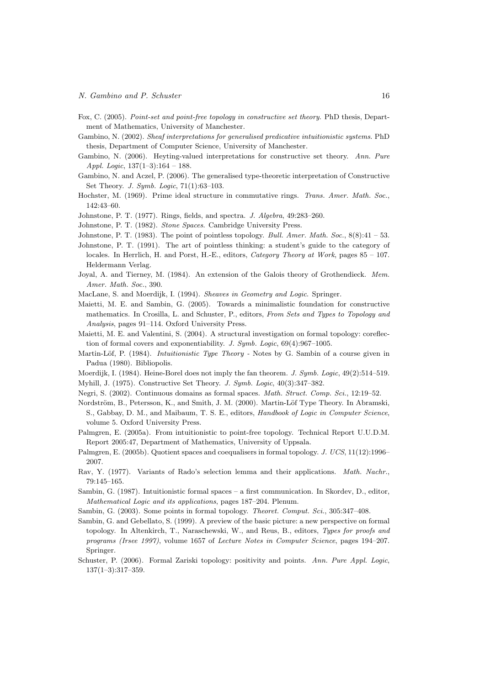- Fox, C. (2005). Point-set and point-free topology in constructive set theory. PhD thesis, Department of Mathematics, University of Manchester.
- Gambino, N. (2002). Sheaf interpretations for generalised predicative intuitionistic systems. PhD thesis, Department of Computer Science, University of Manchester.
- Gambino, N. (2006). Heyting-valued interpretations for constructive set theory. Ann. Pure Appl. Logic,  $137(1-3):164-188$ .
- Gambino, N. and Aczel, P. (2006). The generalised type-theoretic interpretation of Constructive Set Theory. J. Symb. Logic, 71(1):63–103.
- Hochster, M. (1969). Prime ideal structure in commutative rings. Trans. Amer. Math. Soc., 142:43–60.
- Johnstone, P. T. (1977). Rings, fields, and spectra. J. Algebra, 49:283–260.
- Johnstone, P. T. (1982). Stone Spaces. Cambridge University Press.
- Johnstone, P. T. (1983). The point of pointless topology. Bull. Amer. Math. Soc.,  $8(8):41 53$ .
- Johnstone, P. T. (1991). The art of pointless thinking: a student's guide to the category of locales. In Herrlich, H. and Porst, H.-E., editors, *Category Theory at Work*, pages  $85 - 107$ . Heldermann Verlag.
- Joyal, A. and Tierney, M. (1984). An extension of the Galois theory of Grothendieck. Mem. Amer. Math. Soc., 390.
- MacLane, S. and Moerdijk, I. (1994). Sheaves in Geometry and Logic. Springer.
- Maietti, M. E. and Sambin, G. (2005). Towards a minimalistic foundation for constructive mathematics. In Crosilla, L. and Schuster, P., editors, From Sets and Types to Topology and Analysis, pages 91–114. Oxford University Press.
- Maietti, M. E. and Valentini, S. (2004). A structural investigation on formal topology: coreflection of formal covers and exponentiability. J. Symb. Logic, 69(4):967–1005.
- Martin-Löf, P. (1984). *Intuitionistic Type Theory* Notes by G. Sambin of a course given in Padua (1980). Bibliopolis.
- Moerdijk, I. (1984). Heine-Borel does not imply the fan theorem. J. Symb. Logic, 49(2):514–519. Myhill, J. (1975). Constructive Set Theory. J. Symb. Logic, 40(3):347–382.
- Negri, S. (2002). Continuous domains as formal spaces. Math. Struct. Comp. Sci., 12:19–52.
- Nordström, B., Petersson, K., and Smith, J. M. (2000). Martin-Löf Type Theory. In Abramski, S., Gabbay, D. M., and Maibaum, T. S. E., editors, Handbook of Logic in Computer Science, volume 5. Oxford University Press.
- Palmgren, E. (2005a). From intuitionistic to point-free topology. Technical Report U.U.D.M. Report 2005:47, Department of Mathematics, University of Uppsala.
- Palmgren, E. (2005b). Quotient spaces and coequalisers in formal topology. J. UCS, 11(12):1996– 2007.
- Rav, Y. (1977). Variants of Rado's selection lemma and their applications. Math. Nachr., 79:145–165.
- Sambin, G. (1987). Intuitionistic formal spaces a first communication. In Skordev, D., editor, Mathematical Logic and its applications, pages 187–204. Plenum.
- Sambin, G. (2003). Some points in formal topology. Theoret. Comput. Sci., 305:347–408.
- Sambin, G. and Gebellato, S. (1999). A preview of the basic picture: a new perspective on formal topology. In Altenkirch, T., Naraschewski, W., and Reus, B., editors, Types for proofs and programs (Irsee 1997), volume 1657 of Lecture Notes in Computer Science, pages 194–207. Springer.
- Schuster, P. (2006). Formal Zariski topology: positivity and points. Ann. Pure Appl. Logic, 137(1–3):317–359.